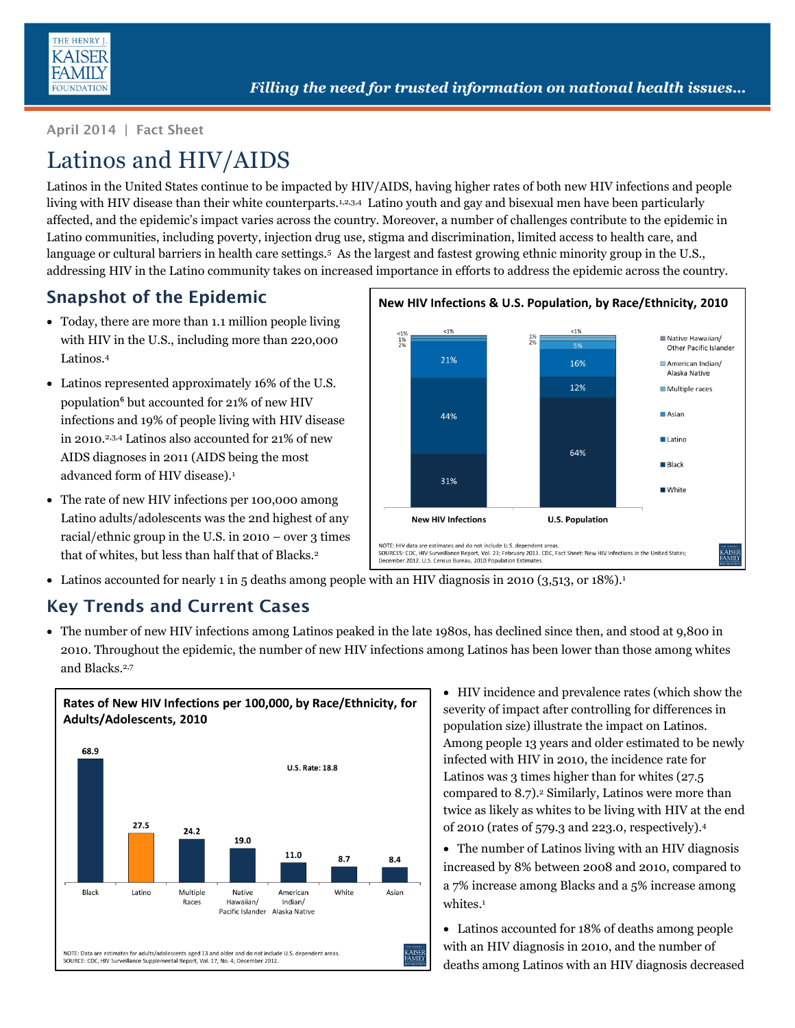

**April 2014 | Fact Sheet**

# Latinos and HIV/AIDS

Latinos in the United States continue to be impacted by HIV/AIDS, having higher rates of both new HIV infections and people living with HIV disease than their white counterparts.<sup>1,2,3,4</sup> Latino youth and gay and bisexual men have been particularly affected, and the epidemic's impact varies across the country. Moreover, a number of challenges contribute to the epidemic in Latino communities, including poverty, injection drug use, stigma and discrimination, limited access to health care, and language or cultural barriers in health care settings.<sup>5</sup> As the largest and fastest growing ethnic minority group in the U.S., addressing HIV in the Latino community takes on increased importance in efforts to address the epidemic across the country.

## **Snapshot of the Epidemic**

- Today, there are more than 1.1 million people living with HIV in the U.S., including more than 220,000 Latinos.[4](#page-0-0)
- Latinos represented approximately 16% of the U.S. population**<sup>6</sup>** but accounted for 21% of new HIV infections and 19% of people living with HIV disease in 2010.[2,](#page-0-1)[3,](#page-0-2)[4](#page-0-0) Latinos also accounted for 21% of new AIDS diagnoses in 2011 (AIDS being the most advanced form of HIV disease[\).](#page-0-3)<sup>1</sup>
- The rate of new HIV infections per 100,000 among Latino adults/adolescents was the 2nd highest of any racial/ethnic group in the U.S. in  $2010 - over 3$  times that of whites, but less than half that of Blacks.<sup>[2](#page-0-1)</sup>

<span id="page-0-3"></span><span id="page-0-2"></span><span id="page-0-1"></span><span id="page-0-0"></span>

• Latinos accounted for nearly 1 in 5 deaths among people with an HIV diagnosis in 2010 (3,513, or 18%)[.](#page-0-3)<sup>1</sup>

### **Key Trends and Current Cases**

 The number of new HIV infections among Latinos peaked in the late 1980s, has declined since then, and stood at 9,800 in 2010. Throughout the epidemic, the number of new HIV infections among Latinos has been lower than those among whites and Blacks.[2,7](#page-0-1)



- HIV incidence and prevalence rates (which show the severity of impact after controlling for differences in population size) illustrate the impact on Latinos. Among people 13 years and older estimated to be newly infected with HIV in 2010, the incidence rate for Latinos was 3 times higher than for whites (27.5) compared to 8.7)[.](#page-0-1)<sup>2</sup> Similarly, Latinos were more than twice as likely as whites to be living with HIV at the end of 2010 (rates of 579.3 and 223.0, respectively[\).](#page-0-0)<sup>4</sup>
- The number of Latinos living with an HIV diagnosis increased by 8% between 2008 and 2010, compared to a 7% increase among Blacks and a 5% increase among whites[.](#page-0-3)<sup>1</sup>
- Latinos accounted for 18% of deaths among people with an HIV diagnosis in 2010, and the number of deaths among Latinos with an HIV diagnosis decreased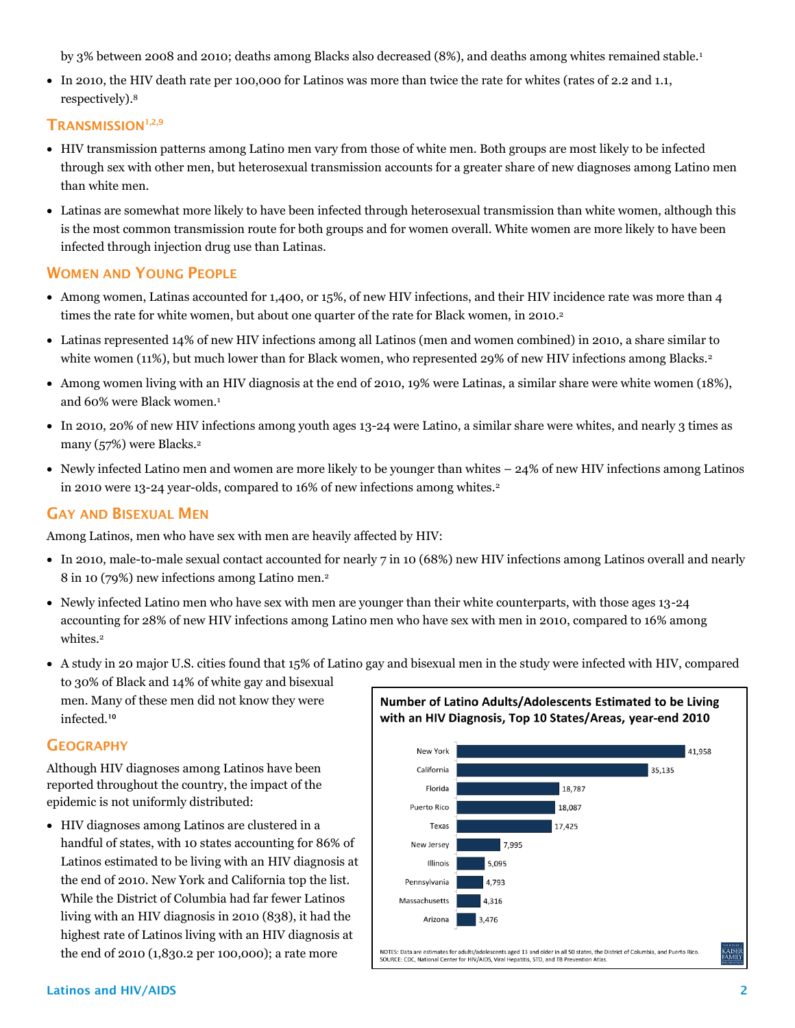by 3% between 2008 and 2010; deaths among Blacks also decreased (8%), and deaths among whites remained stable[.](#page-0-3)<sup>1</sup>

 In 2010, the HIV death rate per 100,000 for Latinos was more than twice the rate for whites (rates of 2.2 and 1.1, respectively).<sup>8</sup>

#### **TRANSMISSION[1,](#page-0-3)[2,9](#page-0-1)**

- HIV transmission patterns among Latino men vary from those of white men. Both groups are most likely to be infected through sex with other men, but heterosexual transmission accounts for a greater share of new diagnoses among Latino men than white men.
- Latinas are somewhat more likely to have been infected through heterosexual transmission than white women, although this is the most common transmission route for both groups and for women overall. White women are more likely to have been infected through injection drug use than Latinas.

#### **WOMEN AND YOUNG PEOPLE**

- Among women, Latinas accounted for 1,400, or 15%, of new HIV infections, and their HIV incidence rate was more than 4 times the rate for white women, but about one quarter of the rate for Black women, in 201[0.](#page-0-1)<sup>2</sup>
- Latinas represented 14% of new HIV infections among all Latinos (men and women combined) in 2010, a share similar to white women (11%), but much lower than for Black women, who represented 29% of new HIV infections among Blacks[.](#page-0-1)<sup>2</sup>
- Among women living with an HIV diagnosis at the end of 2010, 19% were Latinas, a similar share were white women (18%), and 60% were Black women[.](#page-0-3)<sup>1</sup>
- In 2010, 20% of new HIV infections among youth ages 13-24 were Latino, a similar share were whites, and nearly 3 times as many (57%) were Blacks[.](#page-0-1)<sup>2</sup>
- Newly infected Latino men and women are more likely to be younger than whites 24% of new HIV infections among Latinos in 2010 were 13-24 year-olds, compared to 16% of new infections among whites[.](#page-0-1)<sup>2</sup>

#### **GAY AND BISEXUAL MEN**

Among Latinos, men who have sex with men are heavily affected by HIV:

- In 2010, male-to-male sexual contact accounted for nearly 7 in 10 (68%) new HIV infections among Latinos overall and nearly 8 in 10 (79%) new infections among Latino men.[2](#page-0-1)
- Newly infected Latino men who have sex with men are younger than their white counterparts, with those ages 13-24 accounting for 28% of new HIV infections among Latino men who have sex with men in 2010, compared to 16% among whites[.](#page-0-1)<sup>2</sup>
- A study in 20 major U.S. cities found that 15% of Latino gay and bisexual men in the study were infected with HIV, compared to 30% of Black and 14% of white gay and bisexual men. Many of these men did not know they were Number of Latino Adults/Adolescents Estimated to be Living infected.**<sup>10</sup>**

#### **GEOGRAPHY**

Although HIV diagnoses among Latinos have been reported throughout the country, the impact of the epidemic is not uniformly distributed:

 HIV diagnoses among Latinos are clustered in a handful of states, with 10 states accounting for 86% of Latinos estimated to be living with an HIV diagnosis at the end of 2010. New York and California top the list. While the District of Columbia had far fewer Latinos living with an HIV diagnosis in 2010 (838), it had the highest rate of Latinos living with an HIV diagnosis at the end of 2010 (1,830.2 per 100,000); a rate more